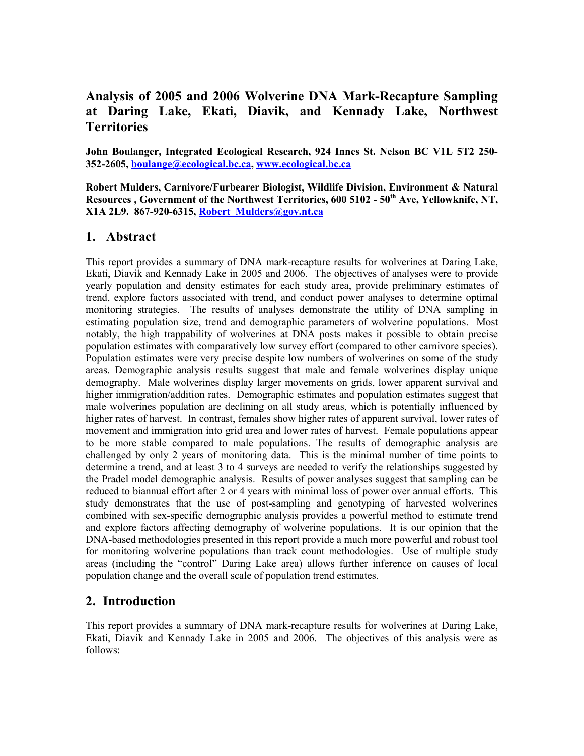# **Analysis of 2005 and 2006 Wolverine DNA Mark-Recapture Sampling at Daring Lake, Ekati, Diavik, and Kennady Lake, Northwest Territories**

**John Boulanger, Integrated Ecological Research, 924 Innes St. Nelson BC V1L 5T2 250- 352-2605, [boulange@ecological.bc.ca,](mailto:boulange@ecological.bc.ca) [www.ecological.bc.ca](http://www.ecological.bc.ca/)**

**Robert Mulders, Carnivore/Furbearer Biologist, Wildlife Division, Environment & Natural**  Resources, Government of the Northwest Territories, 600 5102 - 50<sup>th</sup> Ave, Yellowknife, NT, **X1A 2L9. 867-920-6315, [Robert\\_Mulders@gov.nt.ca](mailto:Robert_Mulders@gov.nt.ca)**

## **1. Abstract**

This report provides a summary of DNA mark-recapture results for wolverines at Daring Lake, Ekati, Diavik and Kennady Lake in 2005 and 2006. The objectives of analyses were to provide yearly population and density estimates for each study area, provide preliminary estimates of trend, explore factors associated with trend, and conduct power analyses to determine optimal monitoring strategies. The results of analyses demonstrate the utility of DNA sampling in estimating population size, trend and demographic parameters of wolverine populations. Most notably, the high trappability of wolverines at DNA posts makes it possible to obtain precise population estimates with comparatively low survey effort (compared to other carnivore species). Population estimates were very precise despite low numbers of wolverines on some of the study areas. Demographic analysis results suggest that male and female wolverines display unique demography. Male wolverines display larger movements on grids, lower apparent survival and higher immigration/addition rates. Demographic estimates and population estimates suggest that male wolverines population are declining on all study areas, which is potentially influenced by higher rates of harvest. In contrast, females show higher rates of apparent survival, lower rates of movement and immigration into grid area and lower rates of harvest. Female populations appear to be more stable compared to male populations. The results of demographic analysis are challenged by only 2 years of monitoring data. This is the minimal number of time points to determine a trend, and at least 3 to 4 surveys are needed to verify the relationships suggested by the Pradel model demographic analysis. Results of power analyses suggest that sampling can be reduced to biannual effort after 2 or 4 years with minimal loss of power over annual efforts. This study demonstrates that the use of post-sampling and genotyping of harvested wolverines combined with sex-specific demographic analysis provides a powerful method to estimate trend and explore factors affecting demography of wolverine populations. It is our opinion that the DNA-based methodologies presented in this report provide a much more powerful and robust tool for monitoring wolverine populations than track count methodologies. Use of multiple study areas (including the "control" Daring Lake area) allows further inference on causes of local population change and the overall scale of population trend estimates.

## **2. Introduction**

This report provides a summary of DNA mark-recapture results for wolverines at Daring Lake, Ekati, Diavik and Kennady Lake in 2005 and 2006. The objectives of this analysis were as follows: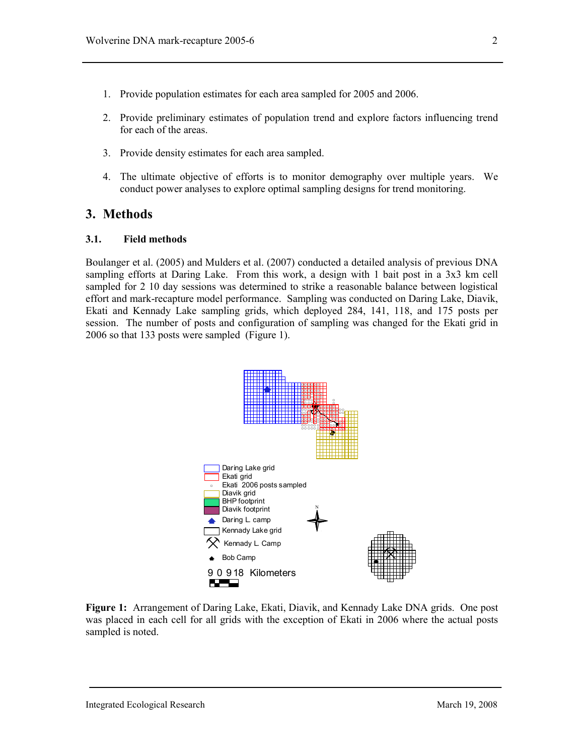- 1. Provide population estimates for each area sampled for 2005 and 2006.
- 2. Provide preliminary estimates of population trend and explore factors influencing trend for each of the areas.
- 3. Provide density estimates for each area sampled.
- 4. The ultimate objective of efforts is to monitor demography over multiple years. We conduct power analyses to explore optimal sampling designs for trend monitoring.

### **3. Methods**

#### **3.1. Field methods**

Boulanger et al. (2005) and Mulders et al. (2007) conducted a detailed analysis of previous DNA sampling efforts at Daring Lake. From this work, a design with 1 bait post in a 3x3 km cell sampled for 2 10 day sessions was determined to strike a reasonable balance between logistical effort and mark-recapture model performance. Sampling was conducted on Daring Lake, Diavik, Ekati and Kennady Lake sampling grids, which deployed 284, 141, 118, and 175 posts per session. The number of posts and configuration of sampling was changed for the Ekati grid in 2006 so that 133 posts were sampled (Figure 1).



**Figure 1:** Arrangement of Daring Lake, Ekati, Diavik, and Kennady Lake DNA grids. One post was placed in each cell for all grids with the exception of Ekati in 2006 where the actual posts sampled is noted.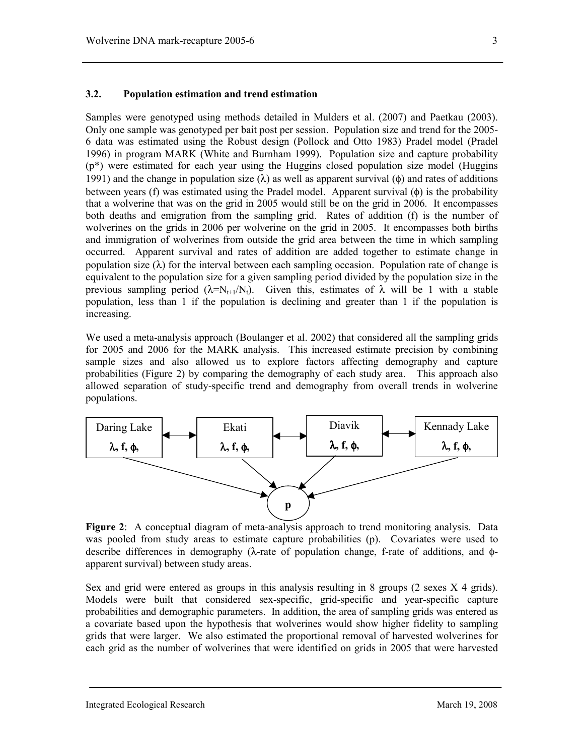### **3.2. Population estimation and trend estimation**

Samples were genotyped using methods detailed in Mulders et al. (2007) and Paetkau (2003). Only one sample was genotyped per bait post per session. Population size and trend for the 2005- 6 data was estimated using the Robust design (Pollock and Otto 1983) Pradel model (Pradel 1996) in program MARK (White and Burnham 1999). Population size and capture probability (p\*) were estimated for each year using the Huggins closed population size model (Huggins 1991) and the change in population size ( $\lambda$ ) as well as apparent survival ( $\phi$ ) and rates of additions between years (f) was estimated using the Pradel model. Apparent survival (φ) is the probability that a wolverine that was on the grid in 2005 would still be on the grid in 2006. It encompasses both deaths and emigration from the sampling grid. Rates of addition (f) is the number of wolverines on the grids in 2006 per wolverine on the grid in 2005. It encompasses both births and immigration of wolverines from outside the grid area between the time in which sampling occurred. Apparent survival and rates of addition are added together to estimate change in population size  $(\lambda)$  for the interval between each sampling occasion. Population rate of change is equivalent to the population size for a given sampling period divided by the population size in the previous sampling period ( $\lambda = N_{t+1}/N_t$ ). Given this, estimates of  $\lambda$  will be 1 with a stable population, less than 1 if the population is declining and greater than 1 if the population is increasing.

We used a meta-analysis approach (Boulanger et al. 2002) that considered all the sampling grids for 2005 and 2006 for the MARK analysis. This increased estimate precision by combining sample sizes and also allowed us to explore factors affecting demography and capture probabilities (Figure 2) by comparing the demography of each study area. This approach also allowed separation of study-specific trend and demography from overall trends in wolverine populations.



**Figure 2**: A conceptual diagram of meta-analysis approach to trend monitoring analysis. Data was pooled from study areas to estimate capture probabilities (p). Covariates were used to describe differences in demography (λ-rate of population change, f-rate of additions, and φapparent survival) between study areas.

Sex and grid were entered as groups in this analysis resulting in 8 groups (2 sexes X 4 grids). Models were built that considered sex-specific, grid-specific and year-specific capture probabilities and demographic parameters. In addition, the area of sampling grids was entered as a covariate based upon the hypothesis that wolverines would show higher fidelity to sampling grids that were larger. We also estimated the proportional removal of harvested wolverines for each grid as the number of wolverines that were identified on grids in 2005 that were harvested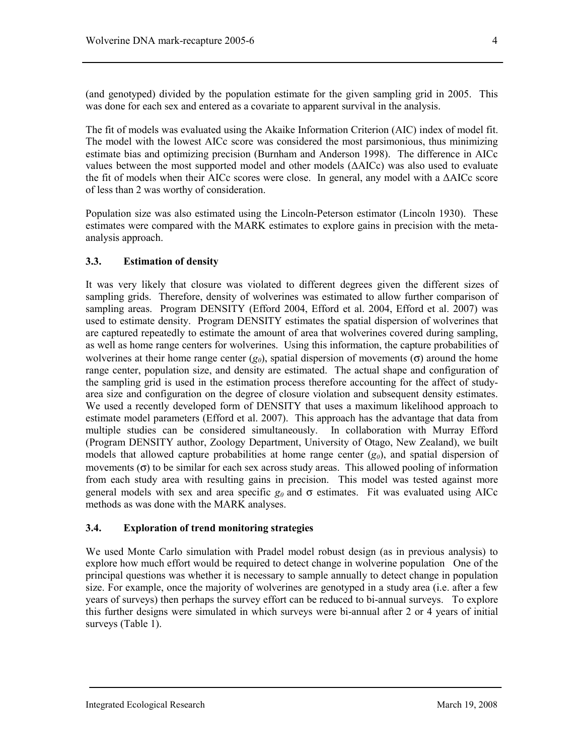(and genotyped) divided by the population estimate for the given sampling grid in 2005. This was done for each sex and entered as a covariate to apparent survival in the analysis.

The fit of models was evaluated using the Akaike Information Criterion (AIC) index of model fit. The model with the lowest AICc score was considered the most parsimonious, thus minimizing estimate bias and optimizing precision (Burnham and Anderson 1998). The difference in AICc values between the most supported model and other models (∆AICc) was also used to evaluate the fit of models when their AICc scores were close. In general, any model with a ∆AICc score of less than 2 was worthy of consideration.

Population size was also estimated using the Lincoln-Peterson estimator (Lincoln 1930). These estimates were compared with the MARK estimates to explore gains in precision with the metaanalysis approach.

#### **3.3. Estimation of density**

It was very likely that closure was violated to different degrees given the different sizes of sampling grids. Therefore, density of wolverines was estimated to allow further comparison of sampling areas. Program DENSITY (Efford 2004, Efford et al. 2004, Efford et al. 2007) was used to estimate density. Program DENSITY estimates the spatial dispersion of wolverines that are captured repeatedly to estimate the amount of area that wolverines covered during sampling, as well as home range centers for wolverines. Using this information, the capture probabilities of wolverines at their home range center  $(g_0)$ , spatial dispersion of movements (σ) around the home range center, population size, and density are estimated. The actual shape and configuration of the sampling grid is used in the estimation process therefore accounting for the affect of studyarea size and configuration on the degree of closure violation and subsequent density estimates. We used a recently developed form of DENSITY that uses a maximum likelihood approach to estimate model parameters (Efford et al. 2007). This approach has the advantage that data from multiple studies can be considered simultaneously. In collaboration with Murray Efford (Program DENSITY author, Zoology Department, University of Otago, New Zealand), we built models that allowed capture probabilities at home range center  $(g_0)$ , and spatial dispersion of movements  $(\sigma)$  to be similar for each sex across study areas. This allowed pooling of information from each study area with resulting gains in precision. This model was tested against more general models with sex and area specific  $g_0$  and  $\sigma$  estimates. Fit was evaluated using AICc methods as was done with the MARK analyses.

### **3.4. Exploration of trend monitoring strategies**

We used Monte Carlo simulation with Pradel model robust design (as in previous analysis) to explore how much effort would be required to detect change in wolverine population One of the principal questions was whether it is necessary to sample annually to detect change in population size. For example, once the majority of wolverines are genotyped in a study area (i.e. after a few years of surveys) then perhaps the survey effort can be reduced to bi-annual surveys. To explore this further designs were simulated in which surveys were bi-annual after 2 or 4 years of initial surveys (Table 1).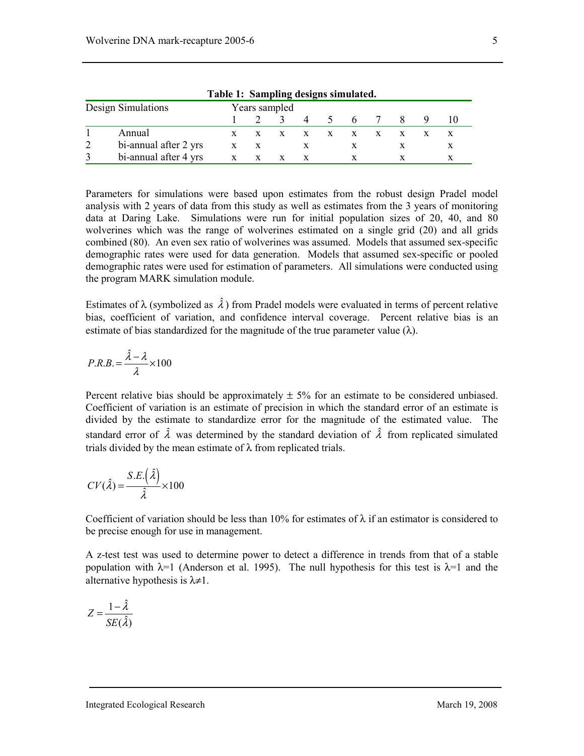| Table 1: Sampling designs simulated. |              |               |          |                |               |   |              |    |  |  |
|--------------------------------------|--------------|---------------|----------|----------------|---------------|---|--------------|----|--|--|
| Design Simulations                   |              | Years sampled |          |                |               |   |              |    |  |  |
|                                      |              |               | $\sim$ 4 | $\overline{4}$ | $\mathcal{L}$ | 6 |              | X. |  |  |
| Annual                               |              |               |          | $\mathbf{x}$   | $X$ $X$       |   | $\mathbf{x}$ |    |  |  |
| bi-annual after 2 yrs                | $\mathbf{x}$ |               |          |                |               |   |              |    |  |  |
| bi-annual after 4 yrs                |              |               |          |                |               |   |              |    |  |  |

**Table 1: Sampling designs simulated.** 

Parameters for simulations were based upon estimates from the robust design Pradel model analysis with 2 years of data from this study as well as estimates from the 3 years of monitoring data at Daring Lake. Simulations were run for initial population sizes of 20, 40, and 80 wolverines which was the range of wolverines estimated on a single grid (20) and all grids combined (80). An even sex ratio of wolverines was assumed. Models that assumed sex-specific demographic rates were used for data generation. Models that assumed sex-specific or pooled demographic rates were used for estimation of parameters. All simulations were conducted using the program MARK simulation module.

Estimates of  $\lambda$  (symbolized as  $\hat{\lambda}$ ) from Pradel models were evaluated in terms of percent relative bias, coefficient of variation, and confidence interval coverage. Percent relative bias is an estimate of bias standardized for the magnitude of the true parameter value  $(\lambda)$ .

$$
P.R.B. = \frac{\hat{\lambda} - \lambda}{\lambda} \times 100
$$

Percent relative bias should be approximately  $\pm$  5% for an estimate to be considered unbiased. Coefficient of variation is an estimate of precision in which the standard error of an estimate is divided by the estimate to standardize error for the magnitude of the estimated value. The standard error of  $\hat{\lambda}$  was determined by the standard deviation of  $\hat{\lambda}$  from replicated simulated trials divided by the mean estimate of  $\lambda$  from replicated trials.

$$
CV(\hat{\lambda}) = \frac{S.E.(\hat{\lambda})}{\hat{\lambda}} \times 100
$$

Coefficient of variation should be less than 10% for estimates of  $\lambda$  if an estimator is considered to be precise enough for use in management.

A z-test test was used to determine power to detect a difference in trends from that of a stable population with  $\lambda=1$  (Anderson et al. 1995). The null hypothesis for this test is  $\lambda=1$  and the alternative hypothesis is  $\lambda \neq 1$ .

$$
Z = \frac{1 - \hat{\lambda}}{SE(\hat{\lambda})}
$$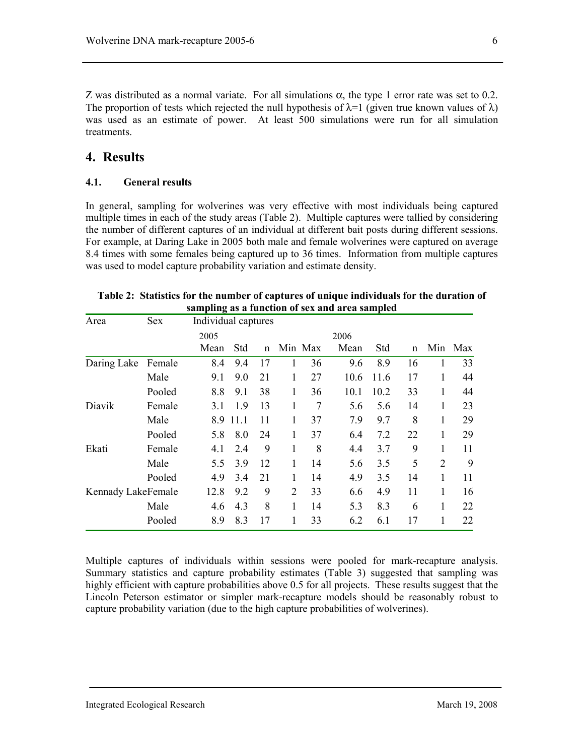Z was distributed as a normal variate. For all simulations  $\alpha$ , the type 1 error rate was set to 0.2. The proportion of tests which rejected the null hypothesis of  $\lambda=1$  (given true known values of  $\lambda$ ) was used as an estimate of power. At least 500 simulations were run for all simulation treatments.

## **4. Results**

### **4.1. General results**

In general, sampling for wolverines was very effective with most individuals being captured multiple times in each of the study areas (Table 2). Multiple captures were tallied by considering the number of different captures of an individual at different bait posts during different sessions. For example, at Daring Lake in 2005 both male and female wolverines were captured on average 8.4 times with some females being captured up to 36 times. Information from multiple captures was used to model capture probability variation and estimate density.

| Area               | <b>Sex</b> | Individual captures |      |              |                |                |      |      |              |                |     |
|--------------------|------------|---------------------|------|--------------|----------------|----------------|------|------|--------------|----------------|-----|
|                    |            | 2005                |      |              |                |                | 2006 |      |              |                |     |
|                    |            | Mean                | Std  | $\mathsf{n}$ |                | Min Max        | Mean | Std  | $\mathsf{n}$ | Min            | Max |
| Daring Lake        | Female     | 8.4                 | 9.4  | 17           | 1              | 36             | 9.6  | 8.9  | 16           | 1              | 33  |
|                    | Male       | 9.1                 | 9.0  | 21           | 1              | 27             | 10.6 | 11.6 | 17           | 1              | 44  |
|                    | Pooled     | 8.8                 | 9.1  | 38           | 1              | 36             | 10.1 | 10.2 | 33           | 1              | 44  |
| Diavik             | Female     | 3.1                 | 1.9  | 13           | 1              | $\overline{7}$ | 5.6  | 5.6  | 14           | 1              | 23  |
|                    | Male       | 8.9                 | 11.1 | 11           | 1              | 37             | 7.9  | 9.7  | 8            | 1              | 29  |
|                    | Pooled     | 5.8                 | 8.0  | 24           | 1              | 37             | 6.4  | 7.2  | 22           | 1              | 29  |
| Ekati              | Female     | 4.1                 | 2.4  | 9            | 1              | 8              | 4.4  | 3.7  | 9            | 1              | 11  |
|                    | Male       | 5.5                 | 3.9  | 12           | 1              | 14             | 5.6  | 3.5  | 5            | $\overline{2}$ | 9   |
|                    | Pooled     | 4.9                 | 3.4  | 21           | 1              | 14             | 4.9  | 3.5  | 14           | 1              | 11  |
| Kennady LakeFemale |            | 12.8                | 9.2  | 9            | $\overline{2}$ | 33             | 6.6  | 4.9  | 11           | 1              | 16  |
|                    | Male       | 4.6                 | 4.3  | 8            | $\mathbf{1}$   | 14             | 5.3  | 8.3  | 6            | 1              | 22  |
|                    | Pooled     | 8.9                 | 8.3  | 17           | 1              | 33             | 6.2  | 6.1  | 17           | 1              | 22  |

| Table 2: Statistics for the number of captures of unique individuals for the duration of |
|------------------------------------------------------------------------------------------|
| sampling as a function of sex and area sampled                                           |

Multiple captures of individuals within sessions were pooled for mark-recapture analysis. Summary statistics and capture probability estimates (Table 3) suggested that sampling was highly efficient with capture probabilities above 0.5 for all projects. These results suggest that the Lincoln Peterson estimator or simpler mark-recapture models should be reasonably robust to capture probability variation (due to the high capture probabilities of wolverines).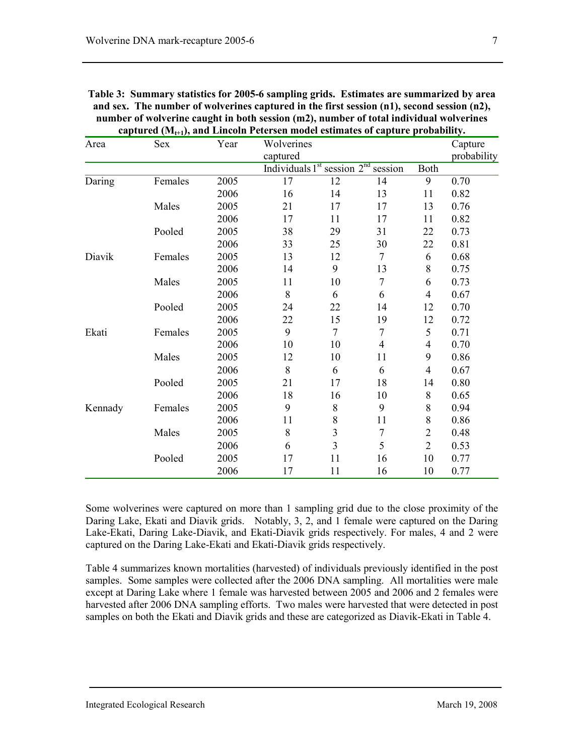| Area    | Sex     | Year | Wolverines<br>captured          |                |                |                | Capture<br>probability |
|---------|---------|------|---------------------------------|----------------|----------------|----------------|------------------------|
|         |         |      | Individuals $1st$ session $2nd$ |                | session        | Both           |                        |
| Daring  | Females | 2005 | 17                              | 12             | 14             | 9              | 0.70                   |
|         |         | 2006 | 16                              | 14             | 13             | 11             | 0.82                   |
|         | Males   | 2005 | 21                              | 17             | 17             | 13             | 0.76                   |
|         |         | 2006 | 17                              | 11             | 17             | 11             | 0.82                   |
|         | Pooled  | 2005 | 38                              | 29             | 31             | 22             | 0.73                   |
|         |         | 2006 | 33                              | 25             | 30             | 22             | 0.81                   |
| Diavik  | Females | 2005 | 13                              | 12             | 7              | 6              | 0.68                   |
|         |         | 2006 | 14                              | 9              | 13             | 8              | 0.75                   |
|         | Males   | 2005 | 11                              | 10             | 7              | 6              | 0.73                   |
|         |         | 2006 | 8                               | 6              | 6              | 4              | 0.67                   |
|         | Pooled  | 2005 | 24                              | 22             | 14             | 12             | 0.70                   |
|         |         | 2006 | 22                              | 15             | 19             | 12             | 0.72                   |
| Ekati   | Females | 2005 | 9                               | 7              | 7              | 5              | 0.71                   |
|         |         | 2006 | 10                              | 10             | $\overline{4}$ | $\overline{4}$ | 0.70                   |
|         | Males   | 2005 | 12                              | 10             | 11             | 9              | 0.86                   |
|         |         | 2006 | 8                               | 6              | 6              | $\overline{4}$ | 0.67                   |
|         | Pooled  | 2005 | 21                              | 17             | 18             | 14             | 0.80                   |
|         |         | 2006 | 18                              | 16             | 10             | 8              | 0.65                   |
| Kennady | Females | 2005 | 9                               | 8              | 9              | 8              | 0.94                   |
|         |         | 2006 | 11                              | 8              | 11             | 8              | 0.86                   |
|         | Males   | 2005 | 8                               | 3              | 7              | $\overline{2}$ | 0.48                   |
|         |         | 2006 | 6                               | $\overline{3}$ | 5              | $\overline{2}$ | 0.53                   |
|         | Pooled  | 2005 | 17                              | 11             | 16             | 10             | 0.77                   |
|         |         | 2006 | 17                              | 11             | 16             | 10             | 0.77                   |
|         |         |      |                                 |                |                |                |                        |

| Table 3: Summary statistics for 2005-6 sampling grids. Estimates are summarized by area          |
|--------------------------------------------------------------------------------------------------|
| and sex. The number of wolverines captured in the first session $(n1)$ , second session $(n2)$ , |
| number of wolverine caught in both session (m2), number of total individual wolverines           |
| captured $(M_{t+1})$ , and Lincoln Petersen model estimates of capture probability.              |

Some wolverines were captured on more than 1 sampling grid due to the close proximity of the Daring Lake, Ekati and Diavik grids. Notably, 3, 2, and 1 female were captured on the Daring Lake-Ekati, Daring Lake-Diavik, and Ekati-Diavik grids respectively. For males, 4 and 2 were captured on the Daring Lake-Ekati and Ekati-Diavik grids respectively.

Table 4 summarizes known mortalities (harvested) of individuals previously identified in the post samples. Some samples were collected after the 2006 DNA sampling. All mortalities were male except at Daring Lake where 1 female was harvested between 2005 and 2006 and 2 females were harvested after 2006 DNA sampling efforts. Two males were harvested that were detected in post samples on both the Ekati and Diavik grids and these are categorized as Diavik-Ekati in Table 4.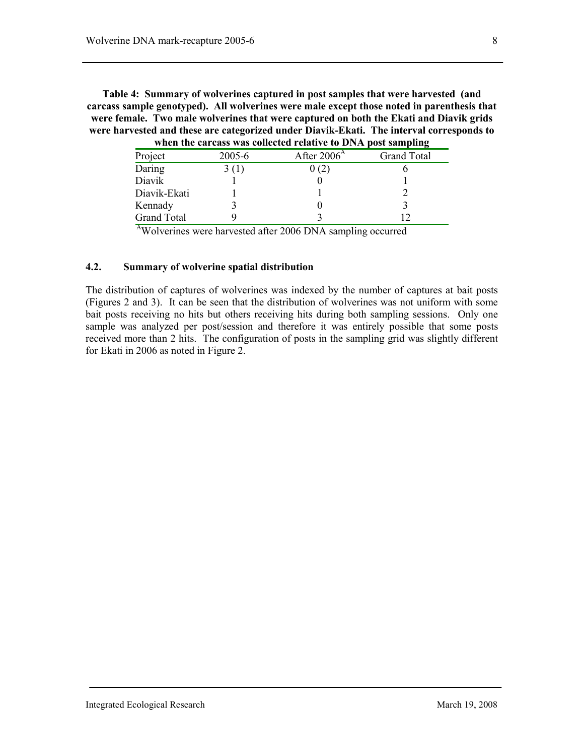**Table 4: Summary of wolverines captured in post samples that were harvested (and carcass sample genotyped). All wolverines were male except those noted in parenthesis that were female. Two male wolverines that were captured on both the Ekati and Diavik grids were harvested and these are categorized under Diavik-Ekati. The interval corresponds to when the carcass was collected relative to DNA post sampling** 

|                    |        | WHEN THE CALCASS WAS CONCLUCU LETALIVE TO DIVIN DOST SAMPHING |                    |
|--------------------|--------|---------------------------------------------------------------|--------------------|
| Project            | 2005-6 | After $2006A$                                                 | <b>Grand Total</b> |
| Daring             | 3(1)   | 0(2)                                                          |                    |
| Diavik             |        |                                                               |                    |
| Diavik-Ekati       |        |                                                               |                    |
| Kennady            |        |                                                               |                    |
| <b>Grand Total</b> |        |                                                               |                    |

<sup>A</sup>Wolverines were harvested after 2006 DNA sampling occurred

#### **4.2. Summary of wolverine spatial distribution**

The distribution of captures of wolverines was indexed by the number of captures at bait posts (Figures 2 and 3). It can be seen that the distribution of wolverines was not uniform with some bait posts receiving no hits but others receiving hits during both sampling sessions. Only one sample was analyzed per post/session and therefore it was entirely possible that some posts received more than 2 hits. The configuration of posts in the sampling grid was slightly different for Ekati in 2006 as noted in Figure 2.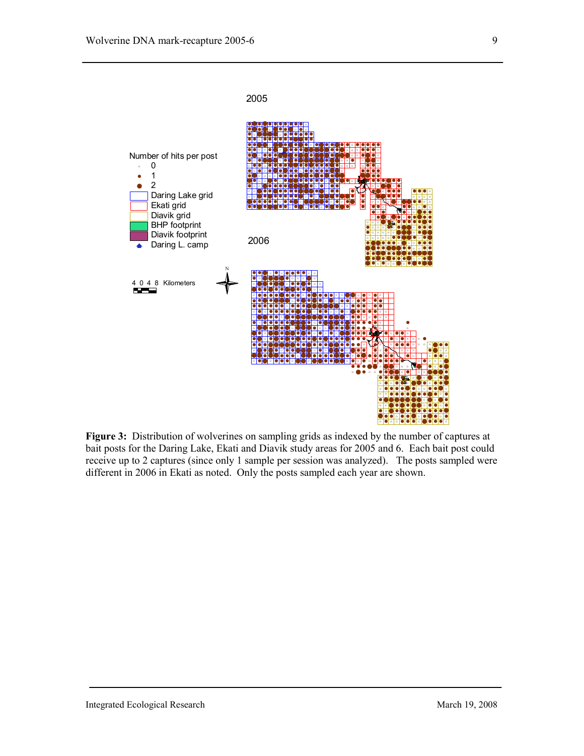

**Figure 3:** Distribution of wolverines on sampling grids as indexed by the number of captures at bait posts for the Daring Lake, Ekati and Diavik study areas for 2005 and 6. Each bait post could receive up to 2 captures (since only 1 sample per session was analyzed). The posts sampled were different in 2006 in Ekati as noted. Only the posts sampled each year are shown.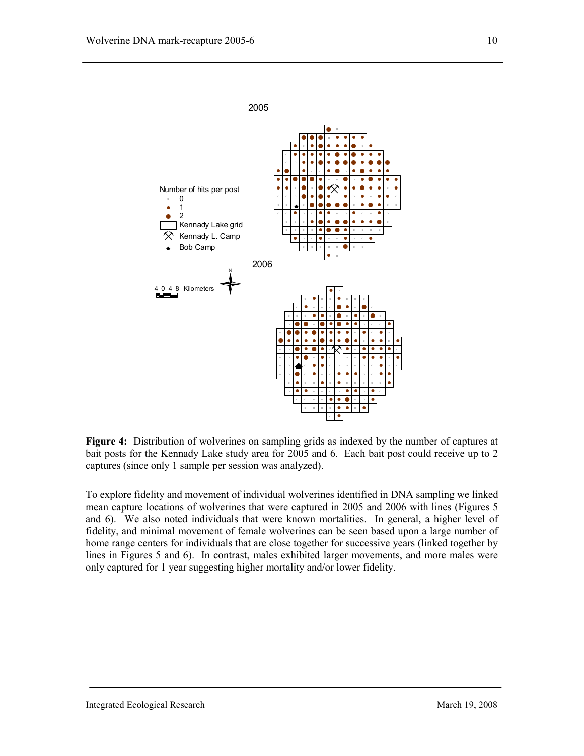

**Figure 4:** Distribution of wolverines on sampling grids as indexed by the number of captures at bait posts for the Kennady Lake study area for 2005 and 6. Each bait post could receive up to 2 captures (since only 1 sample per session was analyzed).

To explore fidelity and movement of individual wolverines identified in DNA sampling we linked mean capture locations of wolverines that were captured in 2005 and 2006 with lines (Figures 5 and 6). We also noted individuals that were known mortalities. In general, a higher level of fidelity, and minimal movement of female wolverines can be seen based upon a large number of home range centers for individuals that are close together for successive years (linked together by lines in Figures 5 and 6). In contrast, males exhibited larger movements, and more males were only captured for 1 year suggesting higher mortality and/or lower fidelity.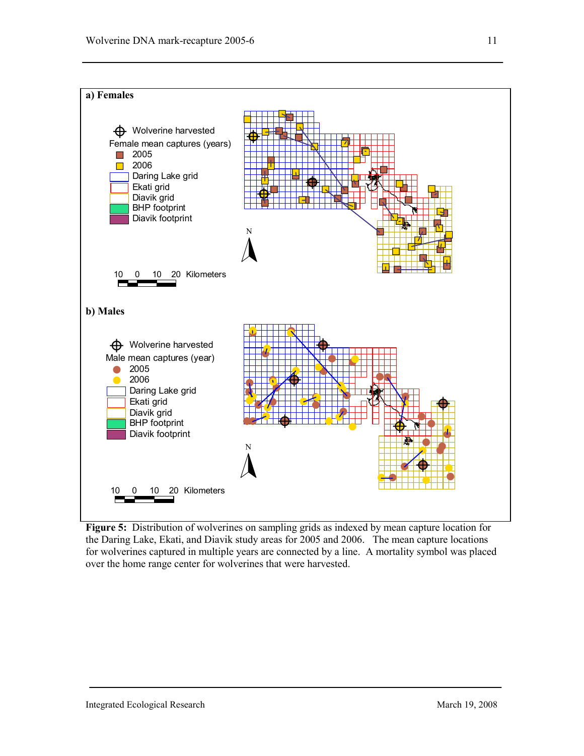

**Figure 5:** Distribution of wolverines on sampling grids as indexed by mean capture location for the Daring Lake, Ekati, and Diavik study areas for 2005 and 2006. The mean capture locations for wolverines captured in multiple years are connected by a line. A mortality symbol was placed over the home range center for wolverines that were harvested.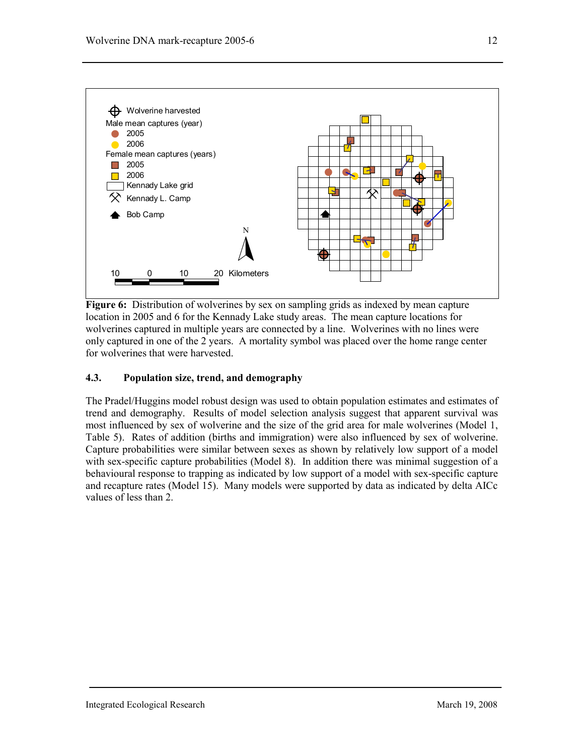

**Figure 6:** Distribution of wolverines by sex on sampling grids as indexed by mean capture location in 2005 and 6 for the Kennady Lake study areas. The mean capture locations for wolverines captured in multiple years are connected by a line. Wolverines with no lines were only captured in one of the 2 years. A mortality symbol was placed over the home range center for wolverines that were harvested.

### **4.3. Population size, trend, and demography**

The Pradel/Huggins model robust design was used to obtain population estimates and estimates of trend and demography. Results of model selection analysis suggest that apparent survival was most influenced by sex of wolverine and the size of the grid area for male wolverines (Model 1, Table 5). Rates of addition (births and immigration) were also influenced by sex of wolverine. Capture probabilities were similar between sexes as shown by relatively low support of a model with sex-specific capture probabilities (Model 8). In addition there was minimal suggestion of a behavioural response to trapping as indicated by low support of a model with sex-specific capture and recapture rates (Model 15). Many models were supported by data as indicated by delta AICc values of less than 2.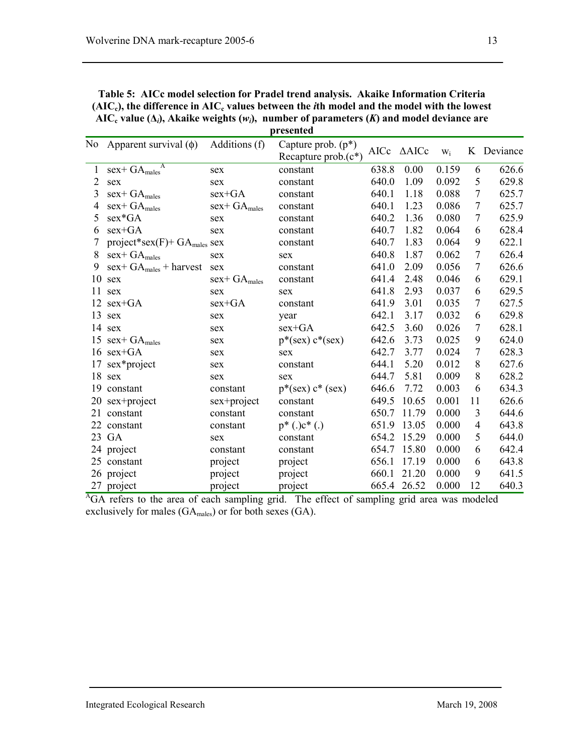| $(AIC_c)$ , the difference in $AIC_c$ values between the <i>i</i> th model and the model with the lowest<br>AIC <sub>c</sub> value ( $\Delta_i$ ), Akaike weights ( $w_i$ ), number of parameters (K) and model deviance are<br>presented |     |                                                  |  |            |           |  |                                        |  |
|-------------------------------------------------------------------------------------------------------------------------------------------------------------------------------------------------------------------------------------------|-----|--------------------------------------------------|--|------------|-----------|--|----------------------------------------|--|
| No Apparent survival $(\phi)$ Additions $(f)$                                                                                                                                                                                             |     | Capture prob. $(p^*)$<br>Recapture prob. $(c^*)$ |  |            |           |  | AICc $\triangle$ AICc $w_i$ K Deviance |  |
| 1 $sex + GA_{males}^A$                                                                                                                                                                                                                    | sex | constant                                         |  | 638.8 0.00 | $0.159$ 6 |  | 626.6                                  |  |

**Table 5: AICc model selection for Pradel trend analysis. Akaike Information Criteria** 

| 1                         | $\overline{A}$<br>$sex + GA_{males}$        | sex                         | constant              | 638.8 | 0.00  | 0.159 | 6  | 626.6 |
|---------------------------|---------------------------------------------|-----------------------------|-----------------------|-------|-------|-------|----|-------|
| $\overline{2}$            | sex                                         | sex                         | constant              | 640.0 | 1.09  | 0.092 | 5  | 629.8 |
| 3                         | $sex + GA$ <sub>males</sub>                 | $sex+GA$                    | constant              | 640.1 | 1.18  | 0.088 | 7  | 625.7 |
| 4                         | $sex + GA$ <sub>males</sub>                 | $sex + GA$ <sub>males</sub> | constant              | 640.1 | 1.23  | 0.086 | 7  | 625.7 |
| 5                         | sex*GA                                      | sex                         | constant              | 640.2 | 1.36  | 0.080 | 7  | 625.9 |
| 6                         | $sex+GA$                                    | sex                         | constant              | 640.7 | 1.82  | 0.064 | 6  | 628.4 |
| 7                         | project*sex $(F)$ + GA <sub>males</sub> sex |                             | constant              | 640.7 | 1.83  | 0.064 | 9  | 622.1 |
| 8                         | $sex + GA$ <sub>males</sub>                 | sex                         | sex                   | 640.8 | 1.87  | 0.062 | 7  | 626.4 |
| 9                         | $sex+GA_{males} + harvest$                  | sex                         | constant              | 641.0 | 2.09  | 0.056 | 7  | 626.6 |
| 10                        | sex                                         | $sex+GA$ <sub>males</sub>   | constant              | 641.4 | 2.48  | 0.046 | 6  | 629.1 |
| 11                        | sex                                         | sex                         | sex                   | 641.8 | 2.93  | 0.037 | 6  | 629.5 |
| 12                        | $sex+GA$                                    | $sex+GA$                    | constant              | 641.9 | 3.01  | 0.035 | 7  | 627.5 |
| 13                        | sex                                         | sex                         | year                  | 642.1 | 3.17  | 0.032 | 6  | 629.8 |
| 14                        | sex                                         | sex                         | $sex+GA$              | 642.5 | 3.60  | 0.026 | 7  | 628.1 |
| 15                        | $sex + GA$ <sub>males</sub>                 | sex                         | $p^*(sex)$ $c^*(sex)$ | 642.6 | 3.73  | 0.025 | 9  | 624.0 |
|                           | $16$ sex+GA                                 | sex                         | sex                   | 642.7 | 3.77  | 0.024 | 7  | 628.3 |
| 17                        | sex*project                                 | sex                         | constant              | 644.1 | 5.20  | 0.012 | 8  | 627.6 |
| 18                        | sex                                         | sex                         | sex                   | 644.7 | 5.81  | 0.009 | 8  | 628.2 |
| 19                        | constant                                    | constant                    | $p^*(sex)$ $c^*(sex)$ | 646.6 | 7.72  | 0.003 | 6  | 634.3 |
| 20                        | sex+project                                 | sex+project                 | constant              | 649.5 | 10.65 | 0.001 | 11 | 626.6 |
| 21                        | constant                                    | constant                    | constant              | 650.7 | 11.79 | 0.000 | 3  | 644.6 |
| 22                        | constant                                    | constant                    | $p^*$ (.) $c^*$ (.)   | 651.9 | 13.05 | 0.000 | 4  | 643.8 |
| 23                        | GA                                          | sex                         | constant              | 654.2 | 15.29 | 0.000 | 5  | 644.0 |
|                           | 24 project                                  | constant                    | constant              | 654.7 | 15.80 | 0.000 | 6  | 642.4 |
| 25                        | constant                                    | project                     | project               | 656.1 | 17.19 | 0.000 | 6  | 643.8 |
|                           | 26 project                                  | project                     | project               | 660.1 | 21.20 | 0.000 | 9  | 641.5 |
| 27                        | project                                     | project                     | project               | 665.4 | 26.52 | 0.000 | 12 | 640.3 |
| $\Delta$ $\sim$ $\lambda$ |                                             |                             |                       |       |       |       |    |       |

<sup>A</sup>GA refers to the area of each sampling grid. The effect of sampling grid area was modeled exclusively for males  $(GA<sub>males</sub>)$  or for both sexes  $(GA)$ .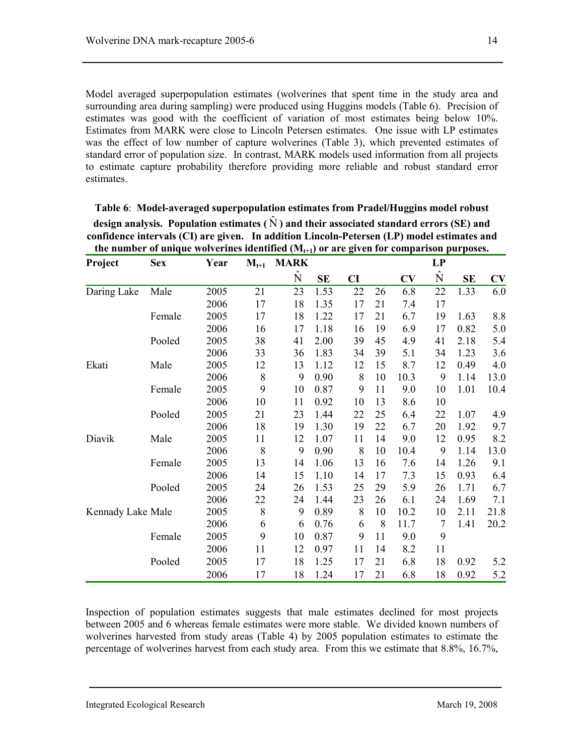Model averaged superpopulation estimates (wolverines that spent time in the study area and surrounding area during sampling) were produced using Huggins models (Table 6). Precision of estimates was good with the coefficient of variation of most estimates being below 10%. Estimates from MARK were close to Lincoln Petersen estimates. One issue with LP estimates was the effect of low number of capture wolverines (Table 3), which prevented estimates of standard error of population size. In contrast, MARK models used information from all projects to estimate capture probability therefore providing more reliable and robust standard error estimates.

| Project           | <b>Sex</b> | Year | $M_{t+1}$ | <b>MARK</b> |           |    |    |           | LP        |      |      |
|-------------------|------------|------|-----------|-------------|-----------|----|----|-----------|-----------|------|------|
|                   |            |      |           | Ñ           | <b>SE</b> | CI |    | $\bf{CV}$ | $\hat{N}$ | SE   | CV   |
| Daring Lake       | Male       | 2005 | 21        | 23          | 1.53      | 22 | 26 | 6.8       | 22        | 1.33 | 6.0  |
|                   |            | 2006 | 17        | 18          | 1.35      | 17 | 21 | 7.4       | 17        |      |      |
|                   | Female     | 2005 | 17        | 18          | 1.22      | 17 | 21 | 6.7       | 19        | 1.63 | 8.8  |
|                   |            | 2006 | 16        | 17          | 1.18      | 16 | 19 | 6.9       | 17        | 0.82 | 5.0  |
|                   | Pooled     | 2005 | 38        | 41          | 2.00      | 39 | 45 | 4.9       | 41        | 2.18 | 5.4  |
|                   |            | 2006 | 33        | 36          | 1.83      | 34 | 39 | 5.1       | 34        | 1.23 | 3.6  |
| Ekati             | Male       | 2005 | 12        | 13          | 1.12      | 12 | 15 | 8.7       | 12        | 0.49 | 4.0  |
|                   |            | 2006 | 8         | 9           | 0.90      | 8  | 10 | 10.3      | 9         | 1.14 | 13.0 |
|                   | Female     | 2005 | 9         | 10          | 0.87      | 9  | 11 | 9.0       | 10        | 1.01 | 10.4 |
|                   |            | 2006 | 10        | 11          | 0.92      | 10 | 13 | 8.6       | 10        |      |      |
|                   | Pooled     | 2005 | 21        | 23          | 1.44      | 22 | 25 | 6.4       | 22        | 1.07 | 4.9  |
|                   |            | 2006 | 18        | 19          | 1.30      | 19 | 22 | 6.7       | 20        | 1.92 | 9.7  |
| Diavik            | Male       | 2005 | 11        | 12          | 1.07      | 11 | 14 | 9.0       | 12        | 0.95 | 8.2  |
|                   |            | 2006 | 8         | 9           | 0.90      | 8  | 10 | 10.4      | 9         | 1.14 | 13.0 |
|                   | Female     | 2005 | 13        | 14          | 1.06      | 13 | 16 | 7.6       | 14        | 1.26 | 9.1  |
|                   |            | 2006 | 14        | 15          | 1.10      | 14 | 17 | 7.3       | 15        | 0.93 | 6.4  |
|                   | Pooled     | 2005 | 24        | 26          | 1.53      | 25 | 29 | 5.9       | 26        | 1.71 | 6.7  |
|                   |            | 2006 | 22        | 24          | 1.44      | 23 | 26 | 6.1       | 24        | 1.69 | 7.1  |
| Kennady Lake Male |            | 2005 | $8\,$     | 9           | 0.89      | 8  | 10 | 10.2      | 10        | 2.11 | 21.8 |
|                   |            | 2006 | 6         | 6           | 0.76      | 6  | 8  | 11.7      | 7         | 1.41 | 20.2 |
|                   | Female     | 2005 | 9         | 10          | 0.87      | 9  | 11 | 9.0       | 9         |      |      |
|                   |            | 2006 | 11        | 12          | 0.97      | 11 | 14 | 8.2       | 11        |      |      |
|                   | Pooled     | 2005 | 17        | 18          | 1.25      | 17 | 21 | 6.8       | 18        | 0.92 | 5.2  |
|                   |            | 2006 | 17        | 18          | 1.24      | 17 | 21 | 6.8       | 18        | 0.92 | 5.2  |

**Table 6**: **Model-averaged superpopulation estimates from Pradel/Huggins model robust**  design analysis. Population estimates  $(\hat{N})$  and their associated standard errors (SE) and **confidence intervals (CI) are given. In addition Lincoln-Petersen (LP) model estimates and**  the number of unique wolverines identified (M<sub>tat</sub>) or are given for comparison purposes

Inspection of population estimates suggests that male estimates declined for most projects between 2005 and 6 whereas female estimates were more stable. We divided known numbers of wolverines harvested from study areas (Table 4) by 2005 population estimates to estimate the percentage of wolverines harvest from each study area. From this we estimate that 8.8%, 16.7%,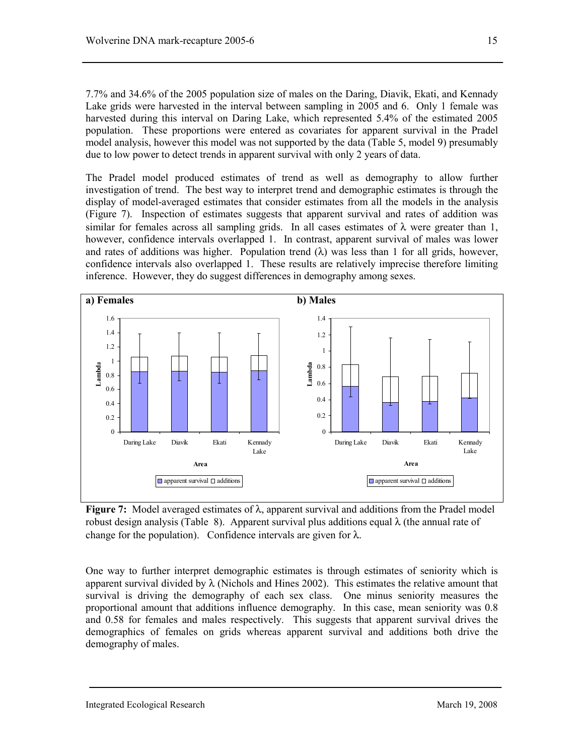7.7% and 34.6% of the 2005 population size of males on the Daring, Diavik, Ekati, and Kennady Lake grids were harvested in the interval between sampling in 2005 and 6. Only 1 female was harvested during this interval on Daring Lake, which represented 5.4% of the estimated 2005 population. These proportions were entered as covariates for apparent survival in the Pradel model analysis, however this model was not supported by the data (Table 5, model 9) presumably due to low power to detect trends in apparent survival with only 2 years of data.

The Pradel model produced estimates of trend as well as demography to allow further investigation of trend. The best way to interpret trend and demographic estimates is through the display of model-averaged estimates that consider estimates from all the models in the analysis (Figure 7). Inspection of estimates suggests that apparent survival and rates of addition was similar for females across all sampling grids. In all cases estimates of  $\lambda$  were greater than 1, however, confidence intervals overlapped 1. In contrast, apparent survival of males was lower and rates of additions was higher. Population trend  $(\lambda)$  was less than 1 for all grids, however, confidence intervals also overlapped 1. These results are relatively imprecise therefore limiting inference. However, they do suggest differences in demography among sexes.



**Figure 7:** Model averaged estimates of λ, apparent survival and additions from the Pradel model robust design analysis (Table 8). Apparent survival plus additions equal  $\lambda$  (the annual rate of change for the population). Confidence intervals are given for  $\lambda$ .

One way to further interpret demographic estimates is through estimates of seniority which is apparent survival divided by  $\lambda$  (Nichols and Hines 2002). This estimates the relative amount that survival is driving the demography of each sex class. One minus seniority measures the proportional amount that additions influence demography. In this case, mean seniority was 0.8 and 0.58 for females and males respectively. This suggests that apparent survival drives the demographics of females on grids whereas apparent survival and additions both drive the demography of males.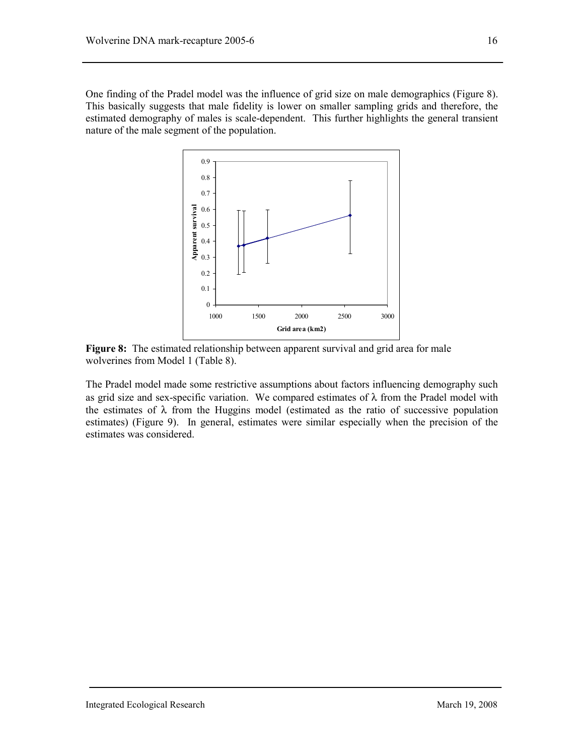One finding of the Pradel model was the influence of grid size on male demographics (Figure 8). This basically suggests that male fidelity is lower on smaller sampling grids and therefore, the estimated demography of males is scale-dependent. This further highlights the general transient nature of the male segment of the population.



Figure 8: The estimated relationship between apparent survival and grid area for male wolverines from Model 1 (Table 8).

The Pradel model made some restrictive assumptions about factors influencing demography such as grid size and sex-specific variation. We compared estimates of  $\lambda$  from the Pradel model with the estimates of  $\lambda$  from the Huggins model (estimated as the ratio of successive population estimates) (Figure 9). In general, estimates were similar especially when the precision of the estimates was considered.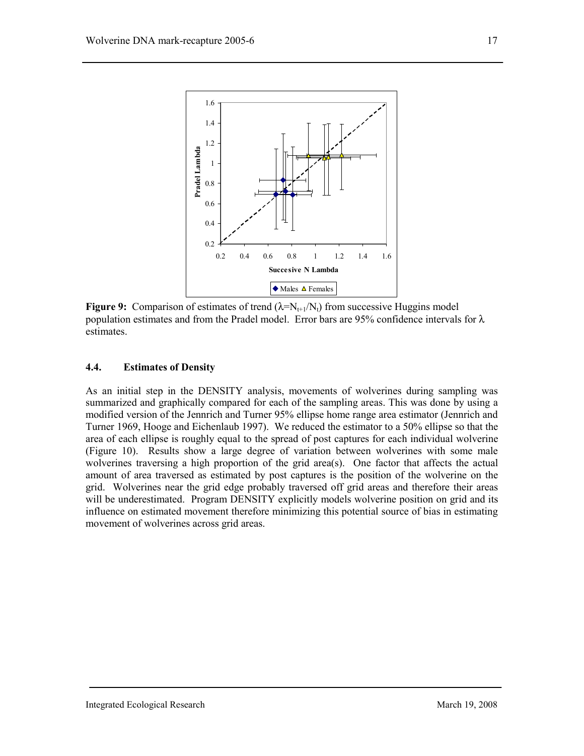

**Figure 9:** Comparison of estimates of trend  $(\lambda = N_{t+1}/N_t)$  from successive Huggins model population estimates and from the Pradel model. Error bars are 95% confidence intervals for  $\lambda$ estimates.

#### **4.4. Estimates of Density**

As an initial step in the DENSITY analysis, movements of wolverines during sampling was summarized and graphically compared for each of the sampling areas. This was done by using a modified version of the Jennrich and Turner 95% ellipse home range area estimator (Jennrich and Turner 1969, Hooge and Eichenlaub 1997). We reduced the estimator to a 50% ellipse so that the area of each ellipse is roughly equal to the spread of post captures for each individual wolverine (Figure 10). Results show a large degree of variation between wolverines with some male wolverines traversing a high proportion of the grid area(s). One factor that affects the actual amount of area traversed as estimated by post captures is the position of the wolverine on the grid. Wolverines near the grid edge probably traversed off grid areas and therefore their areas will be underestimated. Program DENSITY explicitly models wolverine position on grid and its influence on estimated movement therefore minimizing this potential source of bias in estimating movement of wolverines across grid areas.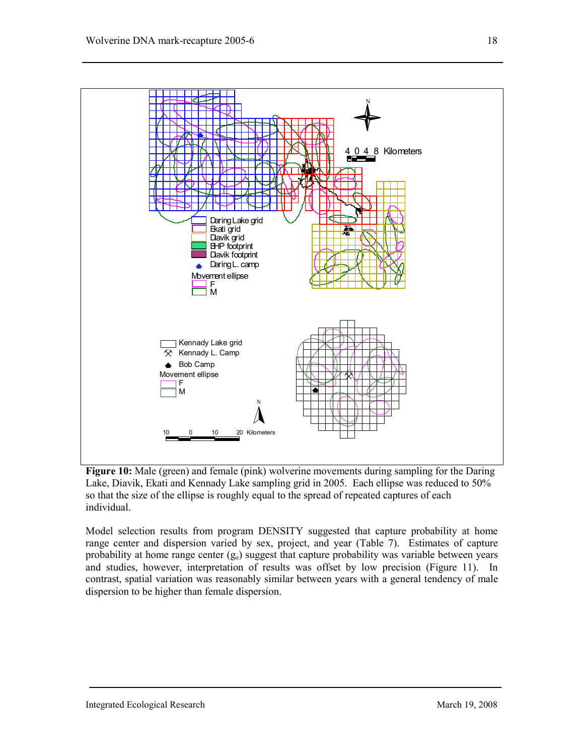

**Figure 10:** Male (green) and female (pink) wolverine movements during sampling for the Daring Lake, Diavik, Ekati and Kennady Lake sampling grid in 2005. Each ellipse was reduced to 50% so that the size of the ellipse is roughly equal to the spread of repeated captures of each individual.

Model selection results from program DENSITY suggested that capture probability at home range center and dispersion varied by sex, project, and year (Table 7). Estimates of capture probability at home range center  $(g_0)$  suggest that capture probability was variable between years and studies, however, interpretation of results was offset by low precision (Figure 11). In contrast, spatial variation was reasonably similar between years with a general tendency of male dispersion to be higher than female dispersion.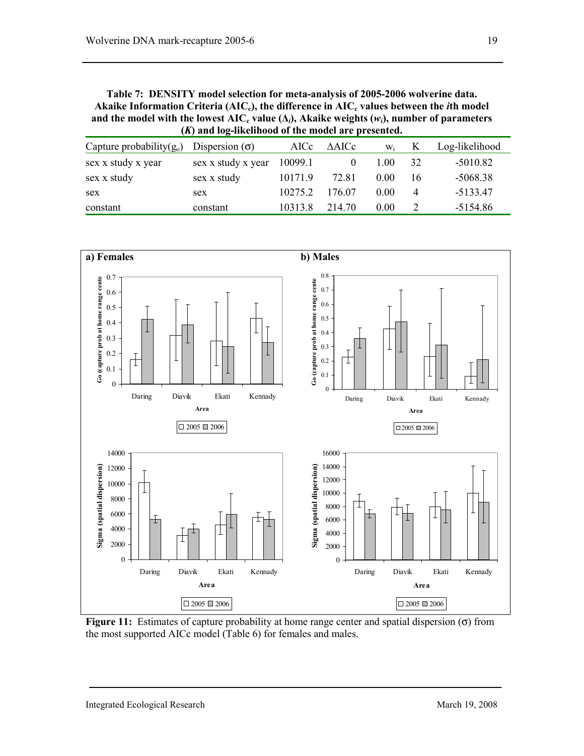**Table 7: DENSITY model selection for meta-analysis of 2005-2006 wolverine data.**  Akaike Information Criteria ( $AIC_c$ ), the difference in  $AIC_c$  values between the *i*th model and the model with the lowest  $AIC_c$  value  $(\Delta_i)$ , Akaike weights  $(w_i)$ , number of parameters **(***K***) and log-likelihood of the model are presented.** 

| Capture probability $(g_0)$ | Dispersion $(\sigma)$ | AICc    | $\triangle AICc$ | Wi   |    | Log-likelihood |
|-----------------------------|-----------------------|---------|------------------|------|----|----------------|
| sex x study x year          | sex x study x year    | 10099.1 |                  | 1.00 | 32 | $-5010.82$     |
| sex x study                 | sex x study           | 10171.9 | 72.81            | 0.00 | 16 | $-5068.38$     |
| sex                         | sex                   | 10275.2 | 176 07           | 0.00 | 4  | $-5133.47$     |
| constant                    | constant              | 10313.8 | 214 70           | 0.00 |    | $-5154.86$     |



**Figure 11:** Estimates of capture probability at home range center and spatial dispersion (σ) from the most supported AICc model (Table 6) for females and males.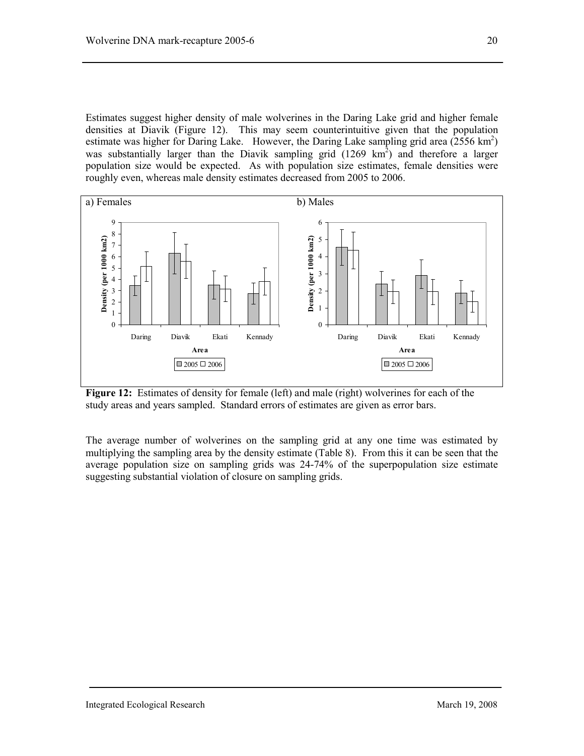Estimates suggest higher density of male wolverines in the Daring Lake grid and higher female densities at Diavik (Figure 12). This may seem counterintuitive given that the population estimate was higher for Daring Lake. However, the Daring Lake sampling grid area  $(2556 \text{ km}^2)$ was substantially larger than the Diavik sampling grid  $(1269 \text{ km}^2)$  and therefore a larger population size would be expected. As with population size estimates, female densities were roughly even, whereas male density estimates decreased from 2005 to 2006.



**Figure 12:** Estimates of density for female (left) and male (right) wolverines for each of the study areas and years sampled. Standard errors of estimates are given as error bars.

The average number of wolverines on the sampling grid at any one time was estimated by multiplying the sampling area by the density estimate (Table 8). From this it can be seen that the average population size on sampling grids was 24-74% of the superpopulation size estimate suggesting substantial violation of closure on sampling grids.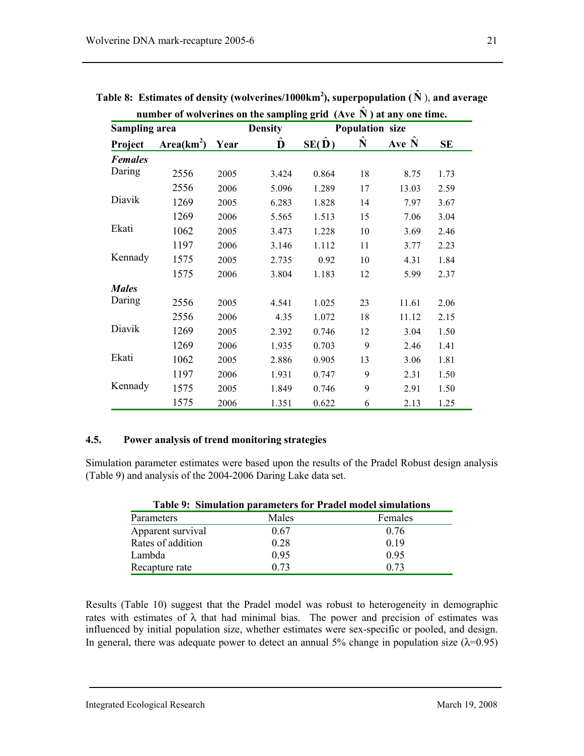|                      | number of wolverines on the sampling grid $(Ave N)$ at any one time. |      |                |                    |                        |       |           |
|----------------------|----------------------------------------------------------------------|------|----------------|--------------------|------------------------|-------|-----------|
| <b>Sampling area</b> |                                                                      |      | <b>Density</b> |                    | <b>Population size</b> |       |           |
| Project              | Area(km <sup>2</sup> )                                               | Year | D              | $SE(\overline{D})$ | N                      | Ave N | <b>SE</b> |
| <b>Females</b>       |                                                                      |      |                |                    |                        |       |           |
| Daring               | 2556                                                                 | 2005 | 3.424          | 0.864              | 18                     | 8.75  | 1.73      |
|                      | 2556                                                                 | 2006 | 5.096          | 1.289              | 17                     | 13.03 | 2.59      |
| Diavik               | 1269                                                                 | 2005 | 6.283          | 1.828              | 14                     | 7.97  | 3.67      |
|                      | 1269                                                                 | 2006 | 5.565          | 1.513              | 15                     | 7.06  | 3.04      |

| Table 8: Estimates of density (wolverines/1000km <sup>2</sup> ), superpopulation ( $\hat{N}$ ), and average |
|-------------------------------------------------------------------------------------------------------------|
| number of wolverines on the sampling grid $(Ave N)$ at any one time.                                        |

# 2556 2006 5.096 1.289 17 13.03 2.59 Diavik 1269 2005 6.283 1.828 14 7.97 3.67 1269 2006 5.565 1.513 15 7.06 3.04 Ekati 1062 2005 3.473 1.228 10 3.69 2.46 1197 2006 3.146 1.112 11 3.77 2.23 Kennady 1575 2005 2.735 0.92 10 4.31 1.84 1575 2006 3.804 1.183 12 5.99 2.37 *Males*  Daring 2556 2005 4.541 1.025 23 11.61 2.06 2556 2006 4.35 1.072 18 11.12 2.15 Diavik 1269 2005 2.392 0.746 12 3.04 1.50 1269 2006 1.935 0.703 9 2.46 1.41 Ekati 1062 2005 2.886 0.905 13 3.06 1.81 1197 2006 1.931 0.747 9 2.31 1.50 Kennady 1575 2005 1.849 0.746 9 2.91 1.50 1575 2006 1.351 0.622 6 2.13 1.25

#### **4.5. Power analysis of trend monitoring strategies**

Simulation parameter estimates were based upon the results of the Pradel Robust design analysis (Table 9) and analysis of the 2004-2006 Daring Lake data set.

| Table 9: Simulation parameters for Pradel model simulations |       |         |  |  |  |  |
|-------------------------------------------------------------|-------|---------|--|--|--|--|
| Parameters                                                  | Males | Females |  |  |  |  |
| Apparent survival                                           | 0.67  | 0.76    |  |  |  |  |
| Rates of addition                                           | 0.28  | 0.19    |  |  |  |  |
| Lambda                                                      | 0.95  | 0.95    |  |  |  |  |
| Recapture rate                                              | 0.73  | 0.73    |  |  |  |  |

Results (Table 10) suggest that the Pradel model was robust to heterogeneity in demographic rates with estimates of  $\lambda$  that had minimal bias. The power and precision of estimates was influenced by initial population size, whether estimates were sex-specific or pooled, and design. In general, there was adequate power to detect an annual 5% change in population size  $(\lambda=0.95)$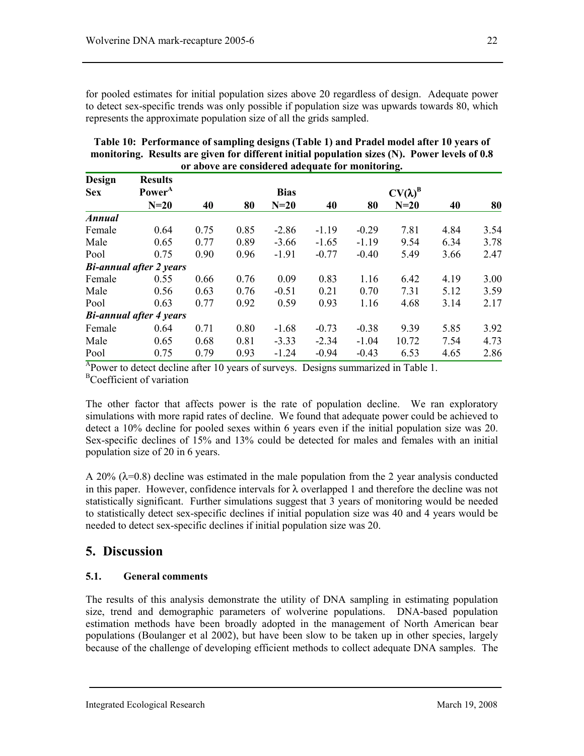for pooled estimates for initial population sizes above 20 regardless of design. Adequate power to detect sex-specific trends was only possible if population size was upwards towards 80, which represents the approximate population size of all the grids sampled.

| Design        | <b>Results</b>                 |      |      |             |         |         |                 |      |      |
|---------------|--------------------------------|------|------|-------------|---------|---------|-----------------|------|------|
| <b>Sex</b>    | Power <sup>A</sup><br>$N=20$   | 40   |      | <b>Bias</b> | 40      |         | $CV(\lambda)^B$ | 40   | 80   |
|               |                                |      | 80   | $N=20$      |         | 80      | $N=20$          |      |      |
| <b>Annual</b> |                                |      |      |             |         |         |                 |      |      |
| Female        | 0.64                           | 0.75 | 0.85 | $-2.86$     | $-1.19$ | $-0.29$ | 7.81            | 4.84 | 3.54 |
| Male          | 0.65                           | 0.77 | 0.89 | $-3.66$     | $-1.65$ | $-1.19$ | 9.54            | 6.34 | 3.78 |
| Pool          | 0.75                           | 0.90 | 0.96 | $-1.91$     | $-0.77$ | $-0.40$ | 5.49            | 3.66 | 2.47 |
|               | <b>Bi-annual after 2 years</b> |      |      |             |         |         |                 |      |      |
| Female        | 0.55                           | 0.66 | 0.76 | 0.09        | 0.83    | 1.16    | 6.42            | 4.19 | 3.00 |
| Male          | 0.56                           | 0.63 | 0.76 | $-0.51$     | 0.21    | 0.70    | 7.31            | 5.12 | 3.59 |
| Pool          | 0.63                           | 0.77 | 0.92 | 0.59        | 0.93    | 1.16    | 4.68            | 3.14 | 2.17 |
|               | <b>Bi-annual after 4 years</b> |      |      |             |         |         |                 |      |      |
| Female        | 0.64                           | 0.71 | 0.80 | $-1.68$     | $-0.73$ | $-0.38$ | 9.39            | 5.85 | 3.92 |
| Male          | 0.65                           | 0.68 | 0.81 | $-3.33$     | $-2.34$ | $-1.04$ | 10.72           | 7.54 | 4.73 |
| Pool          | 0.75                           | 0.79 | 0.93 | $-1.24$     | $-0.94$ | $-0.43$ | 6.53            | 4.65 | 2.86 |

**Table 10: Performance of sampling designs (Table 1) and Pradel model after 10 years of monitoring. Results are given for different initial population sizes (N). Power levels of 0.8 or above are considered adequate for monitoring.** 

 $A_{\text{Power}}$  to detect decline after 10 years of surveys. Designs summarized in Table 1. <sup>B</sup>Coefficient of variation

The other factor that affects power is the rate of population decline. We ran exploratory simulations with more rapid rates of decline. We found that adequate power could be achieved to detect a 10% decline for pooled sexes within 6 years even if the initial population size was 20. Sex-specific declines of 15% and 13% could be detected for males and females with an initial population size of 20 in 6 years.

A 20% ( $\lambda$ =0.8) decline was estimated in the male population from the 2 year analysis conducted in this paper. However, confidence intervals for  $\lambda$  overlapped 1 and therefore the decline was not statistically significant. Further simulations suggest that  $\overline{3}$  years of monitoring would be needed to statistically detect sex-specific declines if initial population size was 40 and 4 years would be needed to detect sex-specific declines if initial population size was 20.

# **5. Discussion**

## **5.1. General comments**

The results of this analysis demonstrate the utility of DNA sampling in estimating population size, trend and demographic parameters of wolverine populations. DNA-based population estimation methods have been broadly adopted in the management of North American bear populations (Boulanger et al 2002), but have been slow to be taken up in other species, largely because of the challenge of developing efficient methods to collect adequate DNA samples. The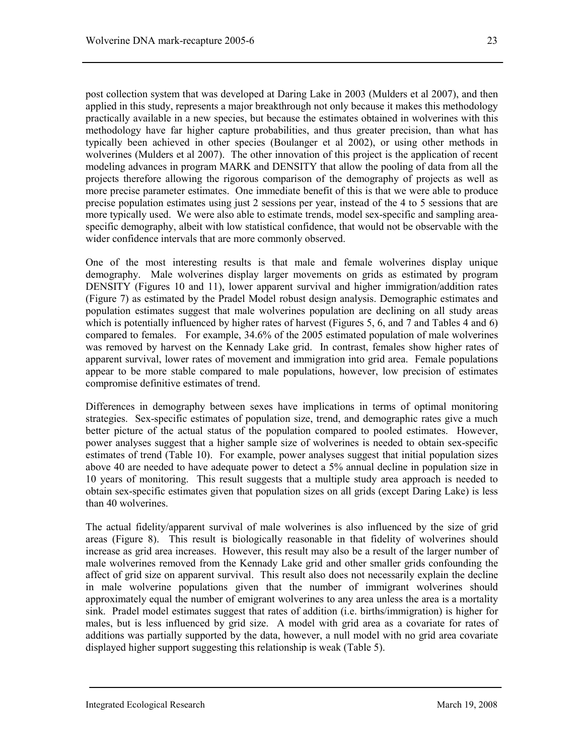post collection system that was developed at Daring Lake in 2003 (Mulders et al 2007), and then applied in this study, represents a major breakthrough not only because it makes this methodology practically available in a new species, but because the estimates obtained in wolverines with this methodology have far higher capture probabilities, and thus greater precision, than what has typically been achieved in other species (Boulanger et al 2002), or using other methods in wolverines (Mulders et al 2007). The other innovation of this project is the application of recent modeling advances in program MARK and DENSITY that allow the pooling of data from all the projects therefore allowing the rigorous comparison of the demography of projects as well as more precise parameter estimates. One immediate benefit of this is that we were able to produce precise population estimates using just 2 sessions per year, instead of the 4 to 5 sessions that are more typically used. We were also able to estimate trends, model sex-specific and sampling areaspecific demography, albeit with low statistical confidence, that would not be observable with the wider confidence intervals that are more commonly observed.

One of the most interesting results is that male and female wolverines display unique demography. Male wolverines display larger movements on grids as estimated by program DENSITY (Figures 10 and 11), lower apparent survival and higher immigration/addition rates (Figure 7) as estimated by the Pradel Model robust design analysis. Demographic estimates and population estimates suggest that male wolverines population are declining on all study areas which is potentially influenced by higher rates of harvest (Figures 5, 6, and 7 and Tables 4 and 6) compared to females. For example, 34.6% of the 2005 estimated population of male wolverines was removed by harvest on the Kennady Lake grid. In contrast, females show higher rates of apparent survival, lower rates of movement and immigration into grid area. Female populations appear to be more stable compared to male populations, however, low precision of estimates compromise definitive estimates of trend.

Differences in demography between sexes have implications in terms of optimal monitoring strategies. Sex-specific estimates of population size, trend, and demographic rates give a much better picture of the actual status of the population compared to pooled estimates. However, power analyses suggest that a higher sample size of wolverines is needed to obtain sex-specific estimates of trend (Table 10). For example, power analyses suggest that initial population sizes above 40 are needed to have adequate power to detect a 5% annual decline in population size in 10 years of monitoring. This result suggests that a multiple study area approach is needed to obtain sex-specific estimates given that population sizes on all grids (except Daring Lake) is less than 40 wolverines.

The actual fidelity/apparent survival of male wolverines is also influenced by the size of grid areas (Figure 8). This result is biologically reasonable in that fidelity of wolverines should increase as grid area increases. However, this result may also be a result of the larger number of male wolverines removed from the Kennady Lake grid and other smaller grids confounding the affect of grid size on apparent survival. This result also does not necessarily explain the decline in male wolverine populations given that the number of immigrant wolverines should approximately equal the number of emigrant wolverines to any area unless the area is a mortality sink. Pradel model estimates suggest that rates of addition (i.e. births/immigration) is higher for males, but is less influenced by grid size. A model with grid area as a covariate for rates of additions was partially supported by the data, however, a null model with no grid area covariate displayed higher support suggesting this relationship is weak (Table 5).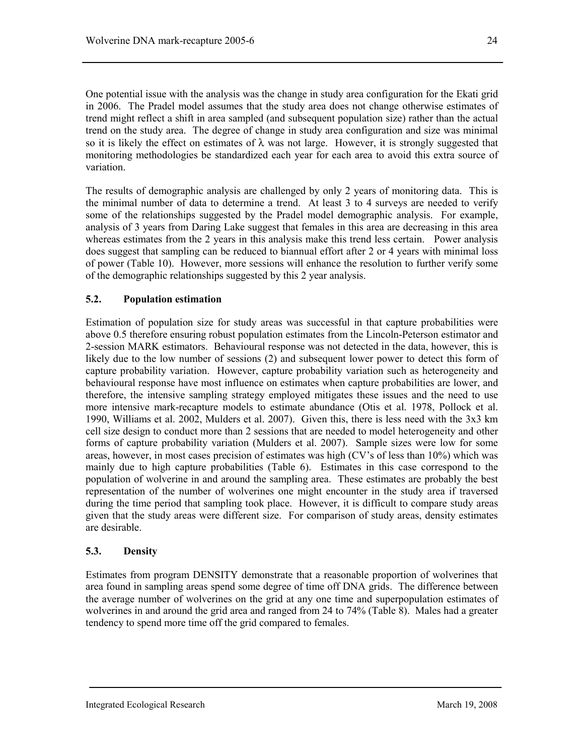One potential issue with the analysis was the change in study area configuration for the Ekati grid in 2006. The Pradel model assumes that the study area does not change otherwise estimates of trend might reflect a shift in area sampled (and subsequent population size) rather than the actual trend on the study area. The degree of change in study area configuration and size was minimal so it is likely the effect on estimates of  $\lambda$  was not large. However, it is strongly suggested that monitoring methodologies be standardized each year for each area to avoid this extra source of variation.

The results of demographic analysis are challenged by only 2 years of monitoring data. This is the minimal number of data to determine a trend. At least 3 to 4 surveys are needed to verify some of the relationships suggested by the Pradel model demographic analysis. For example, analysis of 3 years from Daring Lake suggest that females in this area are decreasing in this area whereas estimates from the 2 years in this analysis make this trend less certain. Power analysis does suggest that sampling can be reduced to biannual effort after 2 or 4 years with minimal loss of power (Table 10). However, more sessions will enhance the resolution to further verify some of the demographic relationships suggested by this 2 year analysis.

## **5.2. Population estimation**

Estimation of population size for study areas was successful in that capture probabilities were above 0.5 therefore ensuring robust population estimates from the Lincoln-Peterson estimator and 2-session MARK estimators. Behavioural response was not detected in the data, however, this is likely due to the low number of sessions (2) and subsequent lower power to detect this form of capture probability variation. However, capture probability variation such as heterogeneity and behavioural response have most influence on estimates when capture probabilities are lower, and therefore, the intensive sampling strategy employed mitigates these issues and the need to use more intensive mark-recapture models to estimate abundance (Otis et al. 1978, Pollock et al. 1990, Williams et al. 2002, Mulders et al. 2007). Given this, there is less need with the 3x3 km cell size design to conduct more than 2 sessions that are needed to model heterogeneity and other forms of capture probability variation (Mulders et al. 2007). Sample sizes were low for some areas, however, in most cases precision of estimates was high (CV's of less than 10%) which was mainly due to high capture probabilities (Table 6). Estimates in this case correspond to the population of wolverine in and around the sampling area. These estimates are probably the best representation of the number of wolverines one might encounter in the study area if traversed during the time period that sampling took place. However, it is difficult to compare study areas given that the study areas were different size. For comparison of study areas, density estimates are desirable.

## **5.3. Density**

Estimates from program DENSITY demonstrate that a reasonable proportion of wolverines that area found in sampling areas spend some degree of time off DNA grids. The difference between the average number of wolverines on the grid at any one time and superpopulation estimates of wolverines in and around the grid area and ranged from 24 to 74% (Table 8). Males had a greater tendency to spend more time off the grid compared to females.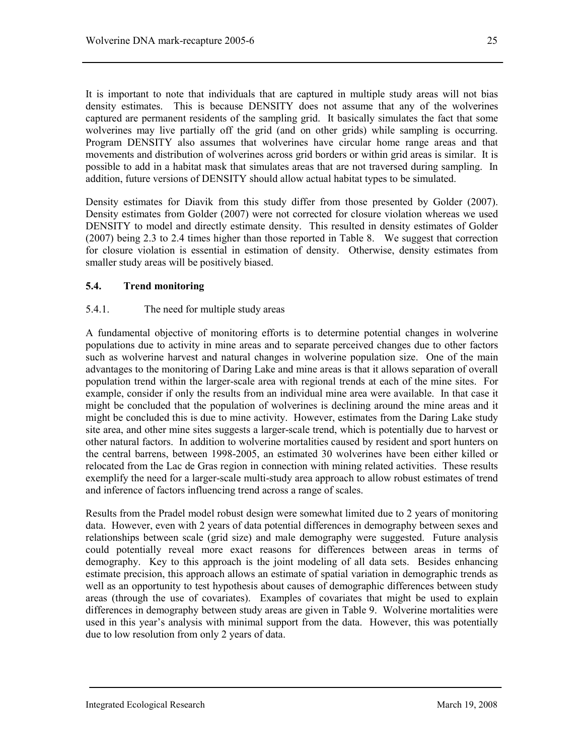It is important to note that individuals that are captured in multiple study areas will not bias density estimates. This is because DENSITY does not assume that any of the wolverines captured are permanent residents of the sampling grid. It basically simulates the fact that some wolverines may live partially off the grid (and on other grids) while sampling is occurring. Program DENSITY also assumes that wolverines have circular home range areas and that movements and distribution of wolverines across grid borders or within grid areas is similar. It is possible to add in a habitat mask that simulates areas that are not traversed during sampling. In addition, future versions of DENSITY should allow actual habitat types to be simulated.

Density estimates for Diavik from this study differ from those presented by Golder (2007). Density estimates from Golder (2007) were not corrected for closure violation whereas we used DENSITY to model and directly estimate density. This resulted in density estimates of Golder (2007) being 2.3 to 2.4 times higher than those reported in Table 8. We suggest that correction for closure violation is essential in estimation of density. Otherwise, density estimates from smaller study areas will be positively biased.

## **5.4. Trend monitoring**

## 5.4.1. The need for multiple study areas

A fundamental objective of monitoring efforts is to determine potential changes in wolverine populations due to activity in mine areas and to separate perceived changes due to other factors such as wolverine harvest and natural changes in wolverine population size. One of the main advantages to the monitoring of Daring Lake and mine areas is that it allows separation of overall population trend within the larger-scale area with regional trends at each of the mine sites. For example, consider if only the results from an individual mine area were available. In that case it might be concluded that the population of wolverines is declining around the mine areas and it might be concluded this is due to mine activity. However, estimates from the Daring Lake study site area, and other mine sites suggests a larger-scale trend, which is potentially due to harvest or other natural factors. In addition to wolverine mortalities caused by resident and sport hunters on the central barrens, between 1998-2005, an estimated 30 wolverines have been either killed or relocated from the Lac de Gras region in connection with mining related activities. These results exemplify the need for a larger-scale multi-study area approach to allow robust estimates of trend and inference of factors influencing trend across a range of scales.

Results from the Pradel model robust design were somewhat limited due to 2 years of monitoring data. However, even with 2 years of data potential differences in demography between sexes and relationships between scale (grid size) and male demography were suggested. Future analysis could potentially reveal more exact reasons for differences between areas in terms of demography. Key to this approach is the joint modeling of all data sets. Besides enhancing estimate precision, this approach allows an estimate of spatial variation in demographic trends as well as an opportunity to test hypothesis about causes of demographic differences between study areas (through the use of covariates). Examples of covariates that might be used to explain differences in demography between study areas are given in Table 9. Wolverine mortalities were used in this year's analysis with minimal support from the data. However, this was potentially due to low resolution from only 2 years of data.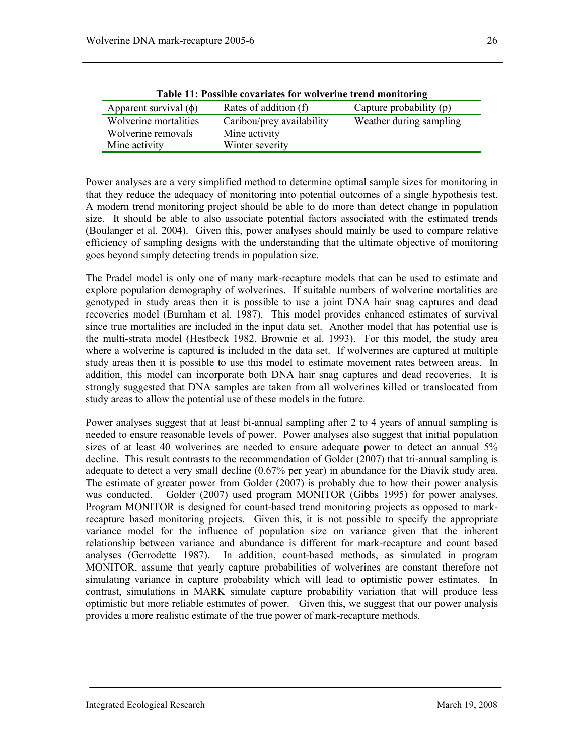| <b>1 AVIC 11. I USSIDIC COVALIANCS TOL WOLVELING LIGHU INQUITOLIN<u>E</u></b> |                           |                         |  |  |  |  |
|-------------------------------------------------------------------------------|---------------------------|-------------------------|--|--|--|--|
| Apparent survival $(\phi)$                                                    | Rates of addition (f)     | Capture probability (p) |  |  |  |  |
| Wolverine mortalities                                                         | Caribou/prey availability | Weather during sampling |  |  |  |  |
| Wolverine removals                                                            | Mine activity             |                         |  |  |  |  |
| Mine activity                                                                 | Winter severity           |                         |  |  |  |  |

**Table 11: Possible covariates for wolverine trend monitoring** 

Power analyses are a very simplified method to determine optimal sample sizes for monitoring in that they reduce the adequacy of monitoring into potential outcomes of a single hypothesis test. A modern trend monitoring project should be able to do more than detect change in population size. It should be able to also associate potential factors associated with the estimated trends (Boulanger et al. 2004). Given this, power analyses should mainly be used to compare relative efficiency of sampling designs with the understanding that the ultimate objective of monitoring goes beyond simply detecting trends in population size.

The Pradel model is only one of many mark-recapture models that can be used to estimate and explore population demography of wolverines. If suitable numbers of wolverine mortalities are genotyped in study areas then it is possible to use a joint DNA hair snag captures and dead recoveries model (Burnham et al. 1987). This model provides enhanced estimates of survival since true mortalities are included in the input data set. Another model that has potential use is the multi-strata model (Hestbeck 1982, Brownie et al. 1993). For this model, the study area where a wolverine is captured is included in the data set. If wolverines are captured at multiple study areas then it is possible to use this model to estimate movement rates between areas. In addition, this model can incorporate both DNA hair snag captures and dead recoveries. It is strongly suggested that DNA samples are taken from all wolverines killed or translocated from study areas to allow the potential use of these models in the future.

Power analyses suggest that at least bi-annual sampling after 2 to 4 years of annual sampling is needed to ensure reasonable levels of power. Power analyses also suggest that initial population sizes of at least 40 wolverines are needed to ensure adequate power to detect an annual 5% decline. This result contrasts to the recommendation of Golder (2007) that tri-annual sampling is adequate to detect a very small decline (0.67% per year) in abundance for the Diavik study area. The estimate of greater power from Golder (2007) is probably due to how their power analysis was conducted. Golder (2007) used program MONITOR (Gibbs 1995) for power analyses. Program MONITOR is designed for count-based trend monitoring projects as opposed to markrecapture based monitoring projects. Given this, it is not possible to specify the appropriate variance model for the influence of population size on variance given that the inherent relationship between variance and abundance is different for mark-recapture and count based analyses (Gerrodette 1987). In addition, count-based methods, as simulated in program MONITOR, assume that yearly capture probabilities of wolverines are constant therefore not simulating variance in capture probability which will lead to optimistic power estimates. In contrast, simulations in MARK simulate capture probability variation that will produce less optimistic but more reliable estimates of power. Given this, we suggest that our power analysis provides a more realistic estimate of the true power of mark-recapture methods.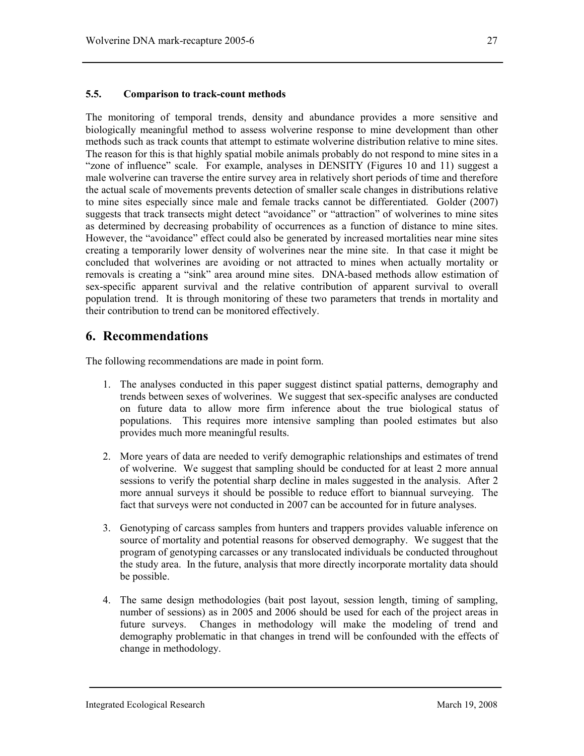The monitoring of temporal trends, density and abundance provides a more sensitive and biologically meaningful method to assess wolverine response to mine development than other methods such as track counts that attempt to estimate wolverine distribution relative to mine sites. The reason for this is that highly spatial mobile animals probably do not respond to mine sites in a "zone of influence" scale. For example, analyses in DENSITY (Figures 10 and 11) suggest a male wolverine can traverse the entire survey area in relatively short periods of time and therefore the actual scale of movements prevents detection of smaller scale changes in distributions relative to mine sites especially since male and female tracks cannot be differentiated. Golder (2007) suggests that track transects might detect "avoidance" or "attraction" of wolverines to mine sites as determined by decreasing probability of occurrences as a function of distance to mine sites. However, the "avoidance" effect could also be generated by increased mortalities near mine sites creating a temporarily lower density of wolverines near the mine site. In that case it might be concluded that wolverines are avoiding or not attracted to mines when actually mortality or removals is creating a "sink" area around mine sites. DNA-based methods allow estimation of sex-specific apparent survival and the relative contribution of apparent survival to overall population trend. It is through monitoring of these two parameters that trends in mortality and their contribution to trend can be monitored effectively.

## **6. Recommendations**

The following recommendations are made in point form.

- 1. The analyses conducted in this paper suggest distinct spatial patterns, demography and trends between sexes of wolverines. We suggest that sex-specific analyses are conducted on future data to allow more firm inference about the true biological status of populations. This requires more intensive sampling than pooled estimates but also provides much more meaningful results.
- 2. More years of data are needed to verify demographic relationships and estimates of trend of wolverine. We suggest that sampling should be conducted for at least 2 more annual sessions to verify the potential sharp decline in males suggested in the analysis. After 2 more annual surveys it should be possible to reduce effort to biannual surveying. The fact that surveys were not conducted in 2007 can be accounted for in future analyses.
- 3. Genotyping of carcass samples from hunters and trappers provides valuable inference on source of mortality and potential reasons for observed demography. We suggest that the program of genotyping carcasses or any translocated individuals be conducted throughout the study area. In the future, analysis that more directly incorporate mortality data should be possible.
- 4. The same design methodologies (bait post layout, session length, timing of sampling, number of sessions) as in 2005 and 2006 should be used for each of the project areas in future surveys. Changes in methodology will make the modeling of trend and demography problematic in that changes in trend will be confounded with the effects of change in methodology.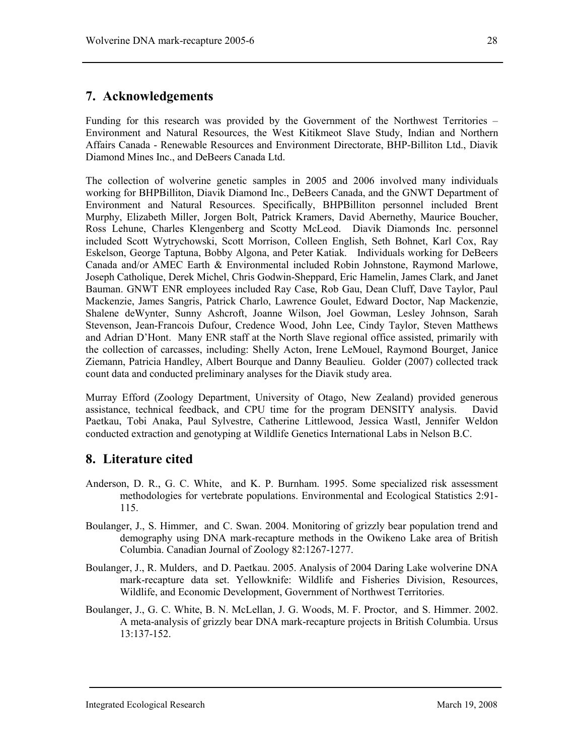# **7. Acknowledgements**

Funding for this research was provided by the Government of the Northwest Territories – Environment and Natural Resources, the West Kitikmeot Slave Study, Indian and Northern Affairs Canada - Renewable Resources and Environment Directorate, BHP-Billiton Ltd., Diavik Diamond Mines Inc., and DeBeers Canada Ltd.

The collection of wolverine genetic samples in 2005 and 2006 involved many individuals working for BHPBilliton, Diavik Diamond Inc., DeBeers Canada, and the GNWT Department of Environment and Natural Resources. Specifically, BHPBilliton personnel included Brent Murphy, Elizabeth Miller, Jorgen Bolt, Patrick Kramers, David Abernethy, Maurice Boucher, Ross Lehune, Charles Klengenberg and Scotty McLeod. Diavik Diamonds Inc. personnel included Scott Wytrychowski, Scott Morrison, Colleen English, Seth Bohnet, Karl Cox, Ray Eskelson, George Taptuna, Bobby Algona, and Peter Katiak. Individuals working for DeBeers Canada and/or AMEC Earth & Environmental included Robin Johnstone, Raymond Marlowe, Joseph Catholique, Derek Michel, Chris Godwin-Sheppard, Eric Hamelin, James Clark, and Janet Bauman. GNWT ENR employees included Ray Case, Rob Gau, Dean Cluff, Dave Taylor, Paul Mackenzie, James Sangris, Patrick Charlo, Lawrence Goulet, Edward Doctor, Nap Mackenzie, Shalene deWynter, Sunny Ashcroft, Joanne Wilson, Joel Gowman, Lesley Johnson, Sarah Stevenson, Jean-Francois Dufour, Credence Wood, John Lee, Cindy Taylor, Steven Matthews and Adrian D'Hont. Many ENR staff at the North Slave regional office assisted, primarily with the collection of carcasses, including: Shelly Acton, Irene LeMouel, Raymond Bourget, Janice Ziemann, Patricia Handley, Albert Bourque and Danny Beaulieu. Golder (2007) collected track count data and conducted preliminary analyses for the Diavik study area.

Murray Efford (Zoology Department, University of Otago, New Zealand) provided generous assistance, technical feedback, and CPU time for the program DENSITY analysis. David Paetkau, Tobi Anaka, Paul Sylvestre, Catherine Littlewood, Jessica Wastl, Jennifer Weldon conducted extraction and genotyping at Wildlife Genetics International Labs in Nelson B.C.

# **8. Literature cited**

- Anderson, D. R., G. C. White, and K. P. Burnham. 1995. Some specialized risk assessment methodologies for vertebrate populations. Environmental and Ecological Statistics 2:91- 115.
- Boulanger, J., S. Himmer, and C. Swan. 2004. Monitoring of grizzly bear population trend and demography using DNA mark-recapture methods in the Owikeno Lake area of British Columbia. Canadian Journal of Zoology 82:1267-1277.
- Boulanger, J., R. Mulders, and D. Paetkau. 2005. Analysis of 2004 Daring Lake wolverine DNA mark-recapture data set. Yellowknife: Wildlife and Fisheries Division, Resources, Wildlife, and Economic Development, Government of Northwest Territories.
- Boulanger, J., G. C. White, B. N. McLellan, J. G. Woods, M. F. Proctor, and S. Himmer. 2002. A meta-analysis of grizzly bear DNA mark-recapture projects in British Columbia. Ursus 13:137-152.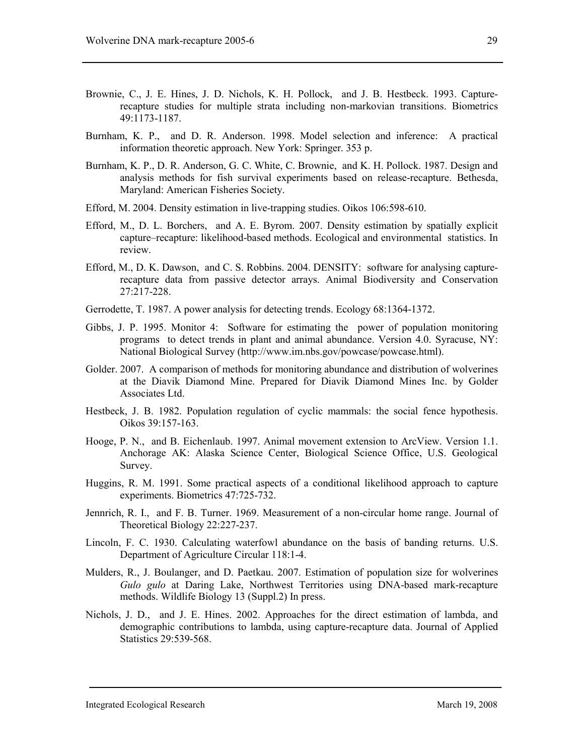- Brownie, C., J. E. Hines, J. D. Nichols, K. H. Pollock, and J. B. Hestbeck. 1993. Capturerecapture studies for multiple strata including non-markovian transitions. Biometrics 49:1173-1187.
- Burnham, K. P., and D. R. Anderson. 1998. Model selection and inference: A practical information theoretic approach. New York: Springer. 353 p.
- Burnham, K. P., D. R. Anderson, G. C. White, C. Brownie, and K. H. Pollock. 1987. Design and analysis methods for fish survival experiments based on release-recapture. Bethesda, Maryland: American Fisheries Society.
- Efford, M. 2004. Density estimation in live-trapping studies. Oikos 106:598-610.
- Efford, M., D. L. Borchers, and A. E. Byrom. 2007. Density estimation by spatially explicit capture–recapture: likelihood-based methods. Ecological and environmental statistics. In review.
- Efford, M., D. K. Dawson, and C. S. Robbins. 2004. DENSITY: software for analysing capturerecapture data from passive detector arrays. Animal Biodiversity and Conservation 27:217-228.
- Gerrodette, T. 1987. A power analysis for detecting trends. Ecology 68:1364-1372.
- Gibbs, J. P. 1995. Monitor 4: Software for estimating the power of population monitoring programs to detect trends in plant and animal abundance. Version 4.0. Syracuse, NY: National Biological Survey (http://www.im.nbs.gov/powcase/powcase.html).
- Golder. 2007. A comparison of methods for monitoring abundance and distribution of wolverines at the Diavik Diamond Mine. Prepared for Diavik Diamond Mines Inc. by Golder Associates Ltd.
- Hestbeck, J. B. 1982. Population regulation of cyclic mammals: the social fence hypothesis. Oikos 39:157-163.
- Hooge, P. N., and B. Eichenlaub. 1997. Animal movement extension to ArcView. Version 1.1. Anchorage AK: Alaska Science Center, Biological Science Office, U.S. Geological Survey.
- Huggins, R. M. 1991. Some practical aspects of a conditional likelihood approach to capture experiments. Biometrics 47:725-732.
- Jennrich, R. I., and F. B. Turner. 1969. Measurement of a non-circular home range. Journal of Theoretical Biology 22:227-237.
- Lincoln, F. C. 1930. Calculating waterfowl abundance on the basis of banding returns. U.S. Department of Agriculture Circular 118:1-4.
- Mulders, R., J. Boulanger, and D. Paetkau. 2007. Estimation of population size for wolverines *Gulo gulo* at Daring Lake, Northwest Territories using DNA-based mark-recapture methods. Wildlife Biology 13 (Suppl.2) In press.
- Nichols, J. D., and J. E. Hines. 2002. Approaches for the direct estimation of lambda, and demographic contributions to lambda, using capture-recapture data. Journal of Applied Statistics 29:539-568.